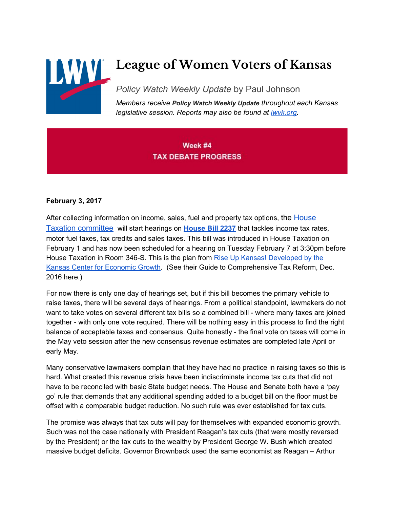

# **League of Women Voters of Kansas**

*Policy Watch Weekly Update* by Paul Johnson

*Members receive Policy Watch Weekly Update throughout each Kansas legislative session. Reports may also be found at [lwvk.org.](http://lwvk.org/ks-legislative-reports)*

# Week #4 **TAX DEBATE PROGRESS**

#### **February 3, 2017**

After collecting information on income, sales, fuel and property tax options, the **[House](http://kslegislature.org/li/b2017_18/committees/ctte_h_tax_1/)** [Taxation committee](http://kslegislature.org/li/b2017_18/committees/ctte_h_tax_1/) will start hearings on **[House](http://www.kslegislature.org/li/b2017_18/measures/hb2237/) Bill 2237** that tackles income tax rates, motor fuel taxes, tax credits and sales taxes. This bill was introduced in House Taxation on February 1 and has now been scheduled for a hearing on Tuesday February 7 at 3:30pm before House Taxation in Room 346-S. This is the plan from Rise Up Kansas! [Developed](http://realprosperityks.com/rise-up-kansas2/) by the Kansas Center for [Economic](http://realprosperityks.com/rise-up-kansas2/) Growth. (See their Guide to Comprehensive Tax Reform, Dec. 2016 here.)

For now there is only one day of hearings set, but if this bill becomes the primary vehicle to raise taxes, there will be several days of hearings. From a political standpoint, lawmakers do not want to take votes on several different tax bills so a combined bill - where many taxes are joined together - with only one vote required. There will be nothing easy in this process to find the right balance of acceptable taxes and consensus. Quite honestly - the final vote on taxes will come in the May veto session after the new consensus revenue estimates are completed late April or early May.

Many conservative lawmakers complain that they have had no practice in raising taxes so this is hard. What created this revenue crisis have been indiscriminate income tax cuts that did not have to be reconciled with basic State budget needs. The House and Senate both have a 'pay go' rule that demands that any additional spending added to a budget bill on the floor must be offset with a comparable budget reduction. No such rule was ever established for tax cuts.

The promise was always that tax cuts will pay for themselves with expanded economic growth. Such was not the case nationally with President Reagan's tax cuts (that were mostly reversed by the President) or the tax cuts to the wealthy by President George W. Bush which created massive budget deficits. Governor Brownback used the same economist as Reagan – Arthur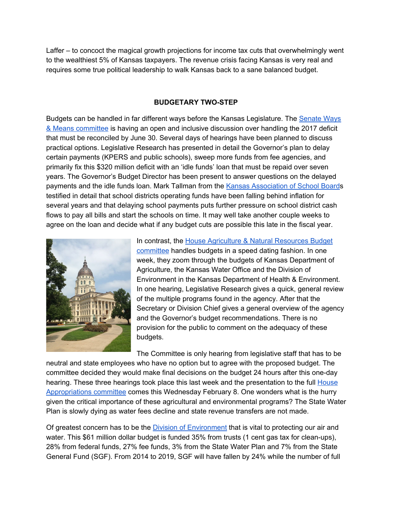Laffer – to concoct the magical growth projections for income tax cuts that overwhelmingly went to the wealthiest 5% of Kansas taxpayers. The revenue crisis facing Kansas is very real and requires some true political leadership to walk Kansas back to a sane balanced budget.

#### **BUDGETARY TWO-STEP**

Budgets can be handled in far different ways before the Kansas Legislature. The [Senate](http://www.kslegislature.org/li_2016/b2015_16/committees/ctte_s_wam_1/) Ways & Means [committee](http://www.kslegislature.org/li_2016/b2015_16/committees/ctte_s_wam_1/) is having an open and inclusive discussion over handling the 2017 deficit that must be reconciled by June 30. Several days of hearings have been planned to discuss practical options. Legislative Research has presented in detail the Governor's plan to delay certain payments (KPERS and public schools), sweep more funds from fee agencies, and primarily fix this \$320 million deficit with an 'idle funds' loan that must be repaid over seven years. The Governor's Budget Director has been present to answer questions on the delayed payments and the idle funds loan. Mark Tallman from the Kansas [Association](http://www.kasb.org/) of School Boards testified in detail that school districts operating funds have been falling behind inflation for several years and that delaying school payments puts further pressure on school district cash flows to pay all bills and start the schools on time. It may well take another couple weeks to agree on the loan and decide what if any budget cuts are possible this late in the fiscal year.



In contrast, the House Agriculture & Natural [Resources](http://kslegislature.org/li/b2017_18/committees/ctte_h_ag_nat_res_bdgt_1/) Budget [committee](http://kslegislature.org/li/b2017_18/committees/ctte_h_ag_nat_res_bdgt_1/) handles budgets in a speed dating fashion. In one week, they zoom through the budgets of Kansas Department of Agriculture, the Kansas Water Office and the Division of Environment in the Kansas Department of Health & Environment. In one hearing, Legislative Research gives a quick, general review of the multiple programs found in the agency. After that the Secretary or Division Chief gives a general overview of the agency and the Governor's budget recommendations. There is no provision for the public to comment on the adequacy of these budgets.

The Committee is only hearing from legislative staff that has to be neutral and state employees who have no option but to agree with the proposed budget. The committee decided they would make final decisions on the budget 24 hours after this one-day hearing. These three hearings took place this last week and the presentation to the full [House](http://www.kslegislature.org/li_2016/b2015_16/committees/ctte_h_apprprtns_1/) [Appropriations](http://www.kslegislature.org/li_2016/b2015_16/committees/ctte_h_apprprtns_1/) committee comes this Wednesday February 8. One wonders what is the hurry given the critical importance of these agricultural and environmental programs? The State Water Plan is slowly dying as water fees decline and state revenue transfers are not made.

Of greatest concern has to be the Division of [Environment](http://www.kdheks.gov/environment/) that is vital to protecting our air and water. This \$61 million dollar budget is funded 35% from trusts (1 cent gas tax for clean-ups), 28% from federal funds, 27% fee funds, 3% from the State Water Plan and 7% from the State General Fund (SGF). From 2014 to 2019, SGF will have fallen by 24% while the number of full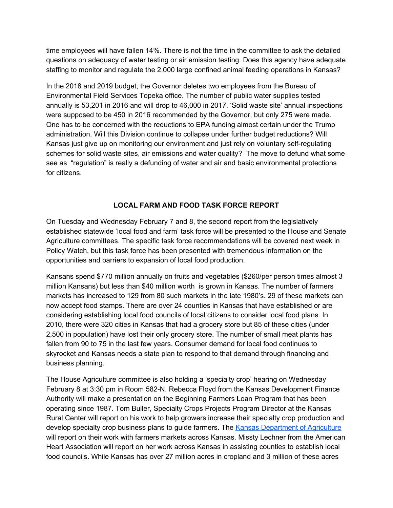time employees will have fallen 14%. There is not the time in the committee to ask the detailed questions on adequacy of water testing or air emission testing. Does this agency have adequate staffing to monitor and regulate the 2,000 large confined animal feeding operations in Kansas?

In the 2018 and 2019 budget, the Governor deletes two employees from the Bureau of Environmental Field Services Topeka office. The number of public water supplies tested annually is 53,201 in 2016 and will drop to 46,000 in 2017. 'Solid waste site' annual inspections were supposed to be 450 in 2016 recommended by the Governor, but only 275 were made. One has to be concerned with the reductions to EPA funding almost certain under the Trump administration. Will this Division continue to collapse under further budget reductions? Will Kansas just give up on monitoring our environment and just rely on voluntary self-regulating schemes for solid waste sites, air emissions and water quality? The move to defund what some see as "regulation" is really a defunding of water and air and basic environmental protections for citizens.

## **LOCAL FARM AND FOOD TASK FORCE REPORT**

On Tuesday and Wednesday February 7 and 8, the second report from the legislatively established statewide 'local food and farm' task force will be presented to the House and Senate Agriculture committees. The specific task force recommendations will be covered next week in Policy Watch, but this task force has been presented with tremendous information on the opportunities and barriers to expansion of local food production.

Kansans spend \$770 million annually on fruits and vegetables (\$260/per person times almost 3 million Kansans) but less than \$40 million worth is grown in Kansas. The number of farmers markets has increased to 129 from 80 such markets in the late 1980's. 29 of these markets can now accept food stamps. There are over 24 counties in Kansas that have established or are considering establishing local food councils of local citizens to consider local food plans. In 2010, there were 320 cities in Kansas that had a grocery store but 85 of these cities (under 2,500 in population) have lost their only grocery store. The number of small meat plants has fallen from 90 to 75 in the last few years. Consumer demand for local food continues to skyrocket and Kansas needs a state plan to respond to that demand through financing and business planning.

The House Agriculture committee is also holding a 'specialty crop' hearing on Wednesday February 8 at 3:30 pm in Room 582-N. Rebecca Floyd from the Kansas Development Finance Authority will make a presentation on the Beginning Farmers Loan Program that has been operating since 1987. Tom Buller, Specialty Crops Projects Program Director at the Kansas Rural Center will report on his work to help growers increase their specialty crop production and develop specialty crop business plans to guide farmers. The Kansas [Department](http://agriculture.ks.gov/) of Agriculture will report on their work with farmers markets across Kansas. Missty Lechner from the American Heart Association will report on her work across Kansas in assisting counties to establish local food councils. While Kansas has over 27 million acres in cropland and 3 million of these acres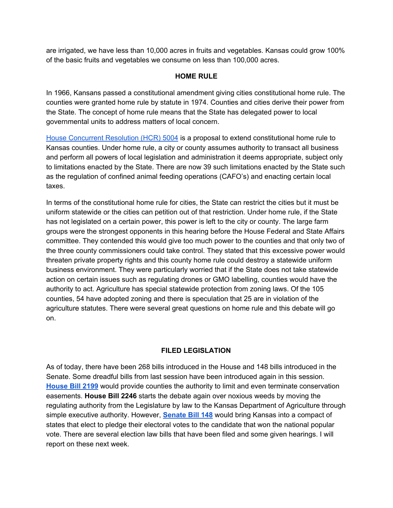are irrigated, we have less than 10,000 acres in fruits and vegetables. Kansas could grow 100% of the basic fruits and vegetables we consume on less than 100,000 acres.

#### **HOME RULE**

In 1966, Kansans passed a constitutional amendment giving cities constitutional home rule. The counties were granted home rule by statute in 1974. Counties and cities derive their power from the State. The concept of home rule means that the State has delegated power to local governmental units to address matters of local concern.

House [Concurrent](http://www.kslegislature.org/li/b2017_18/measures/HCR5004/) Resolution (HCR) 5004 is a proposal to extend constitutional home rule to Kansas counties. Under home rule, a city or county assumes authority to transact all business and perform all powers of local legislation and administration it deems appropriate, subject only to limitations enacted by the State. There are now 39 such limitations enacted by the State such as the regulation of confined animal feeding operations (CAFO's) and enacting certain local taxes.

In terms of the constitutional home rule for cities, the State can restrict the cities but it must be uniform statewide or the cities can petition out of that restriction. Under home rule, if the State has not legislated on a certain power, this power is left to the city or county. The large farm groups were the strongest opponents in this hearing before the House Federal and State Affairs committee. They contended this would give too much power to the counties and that only two of the three county commissioners could take control. They stated that this excessive power would threaten private property rights and this county home rule could destroy a statewide uniform business environment. They were particularly worried that if the State does not take statewide action on certain issues such as regulating drones or GMO labelling, counties would have the authority to act. Agriculture has special statewide protection from zoning laws. Of the 105 counties, 54 have adopted zoning and there is speculation that 25 are in violation of the agriculture statutes. There were several great questions on home rule and this debate will go on.

## **FILED LEGISLATION**

As of today, there have been 268 bills introduced in the House and 148 bills introduced in the Senate. Some dreadful bills from last session have been introduced again in this session. **[House](http://www.kslegislature.org/li/b2017_18/measures/hb2199/) Bill 2199** would provide counties the authority to limit and even terminate conservation easements. **House Bill 2246** starts the debate again over noxious weeds by moving the regulating authority from the Legislature by law to the Kansas Department of Agriculture through simple executive authority. However, **[Senate](http://kslegislature.org/li/b2017_18/measures/sb148/) Bill 148** would bring Kansas into a compact of states that elect to pledge their electoral votes to the candidate that won the national popular vote. There are several election law bills that have been filed and some given hearings. I will report on these next week.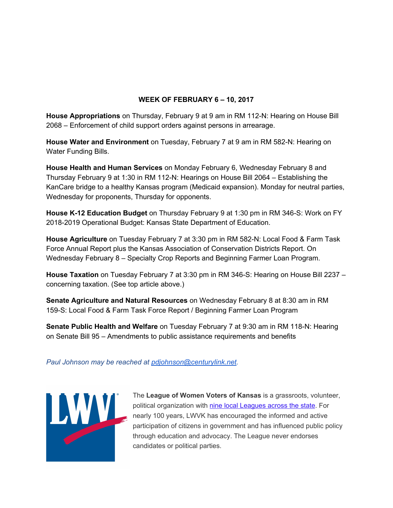## **WEEK OF FEBRUARY 6 – 10, 2017**

**House Appropriations** on Thursday, February 9 at 9 am in RM 112-N: Hearing on House Bill 2068 – Enforcement of child support orders against persons in arrearage.

**House Water and Environment** on Tuesday, February 7 at 9 am in RM 582-N: Hearing on Water Funding Bills.

**House Health and Human Services** on Monday February 6, Wednesday February 8 and Thursday February 9 at 1:30 in RM 112-N: Hearings on House Bill 2064 – Establishing the KanCare bridge to a healthy Kansas program (Medicaid expansion). Monday for neutral parties, Wednesday for proponents, Thursday for opponents.

**House K-12 Education Budget** on Thursday February 9 at 1:30 pm in RM 346-S: Work on FY 2018-2019 Operational Budget: Kansas State Department of Education.

**House Agriculture** on Tuesday February 7 at 3:30 pm in RM 582-N: Local Food & Farm Task Force Annual Report plus the Kansas Association of Conservation Districts Report. On Wednesday February 8 – Specialty Crop Reports and Beginning Farmer Loan Program.

**House Taxation** on Tuesday February 7 at 3:30 pm in RM 346-S: Hearing on House Bill 2237 – concerning taxation. (See top article above.)

**Senate Agriculture and Natural Resources** on Wednesday February 8 at 8:30 am in RM 159-S: Local Food & Farm Task Force Report / Beginning Farmer Loan Program

**Senate Public Health and Welfare** on Tuesday February 7 at 9:30 am in RM 118-N: Hearing on Senate Bill 95 – Amendments to public assistance requirements and benefits

#### *Paul Johnson may be reached at [pdjohnson@centurylink.net.](mailto:pdjohnson@centurylink.net)*



The League of Women Voters of Kansas is a grassroots, volunteer,<br>political organization with <u>nine local Leagues across the state</u>. For<br>nearly 100 years, LWVK has encouraged the informed and active<br>participation of citizen political organization with [nine local Leagues across the state.](http://lwvk.org/?page_id=62) For nearly 100 years, LWVK has encouraged the informed and active participation of citizens in government and has influenced public policy through education and advocacy. The League never endorses candidates or political parties.